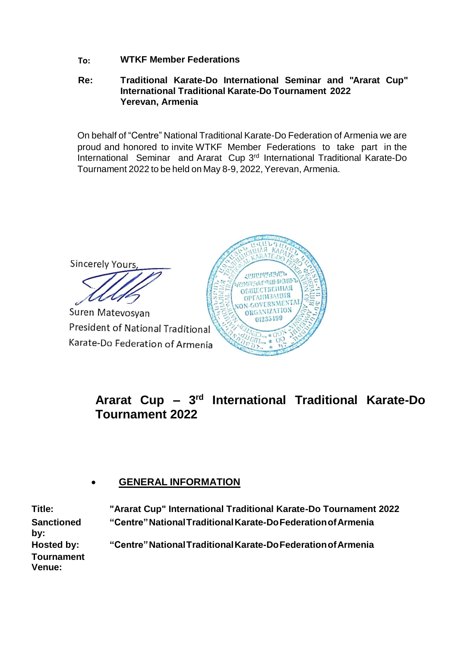**To: WTKF Member Federations**

#### **Re: Traditional Karate-Do International Seminar and "Ararat Cup" International Traditional Karate-Do Tournament 2022 Yerevan, Armenia**

On behalf of "Centre" National Traditional Karate-Do Federation of Armenia we are proud and honored to invite WTKF Member Federations to take part in the International Seminar and Ararat Cup 3<sup>rd</sup> International Traditional Karate-Do Tournament 2022 to be held on May 8-9, 2022, Yerevan, Armenia.

Sincerely Yours, **ARTHPUTHER ROUTHLINGHING 305** ОБЩЕСТВЕННАЯ OPTAIIM3AUMS N-GOVERNMENT/ Suren Matevosyan ORGANIZATION 01235499 President of National Traditional

Karate-Do Federation of Armenia

**Ararat Cup – 3 rd International Traditional Karate-Do Tournament 2022**

### **GENERAL INFORMATION**

**Title: "Ararat Cup" International Traditional Karate-Do Tournament 2022 Sanctioned by: "Centre"NationalTraditionalKarate-DoFederationofArmenia Hosted by: "Centre"NationalTraditionalKarate-DoFederationofArmenia Tournament Venue:**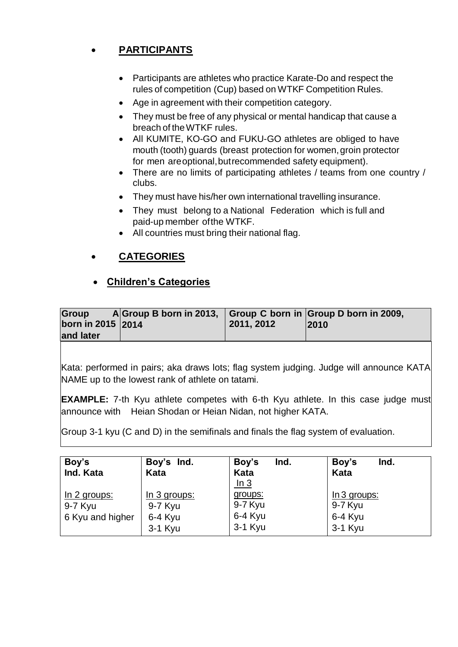# **PARTICIPANTS**

- Participants are athletes who practice Karate-Do and respect the rules of competition (Cup) based on WTKF Competition Rules.
- Age in agreement with their competition category.
- They must be free of any physical or mental handicap that cause a breach of theWTKF rules.
- All KUMITE, KO-GO and FUKU-GO athletes are obliged to have mouth (tooth) guards (breast protection for women, groin protector for men areoptional,butrecommended safety equipment).
- There are no limits of participating athletes / teams from one country / clubs.
- They must have his/her own international travelling insurance.
- They must belong to a National Federation which is full and paid-up member ofthe WTKF.
- All countries must bring their national flag.

# **CATEGORIES**

# **Children's Categories**

| Group<br>A Group B born in 2013, Group C born in Group D born in 2009,<br>born in 2015 2014 | 2011, 2012 | 2010 |
|---------------------------------------------------------------------------------------------|------------|------|
| and later                                                                                   |            |      |

Kata: performed in pairs; aka draws lots; flag system judging. Judge will announce KATA NAME up to the lowest rank of athlete on tatami.

**EXAMPLE:** 7-th Kyu athlete competes with 6-th Kyu athlete. In this case judge must announce with Heian Shodan or Heian Nidan, not higher KATA.

Group 3-1 kyu (C and D) in the semifinals and finals the flag system of evaluation.

| Boy's<br>Ind. Kata                          | Boy's Ind.<br>Kata                                | Boy's<br>Ind.<br>Kata<br><u>In 3</u>     | Ind.<br>Boy's<br>Kata                           |
|---------------------------------------------|---------------------------------------------------|------------------------------------------|-------------------------------------------------|
| In 2 groups:<br>9-7 Kyu<br>6 Kyu and higher | In 3 groups:<br>9-7 Kyu<br>$6-4$ Kyu<br>$3-1$ Kyu | groups:<br>9-7 Kyu<br>6-4 Kyu<br>3-1 Kyu | $ln 3$ groups:<br>9-7 Kyu<br>6-4 Kyu<br>3-1 Kyu |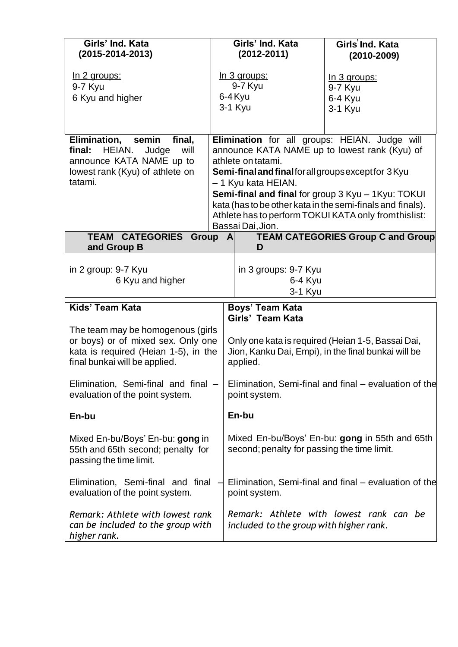| Girls' Ind. Kata<br>$(2015 - 2014 - 2013)$                                                                                                       |                                                                                                                      | Girls' Ind. Kata<br>$(2012 - 2011)$                             | Girls Ind. Kata<br>$(2010 - 2009)$                                                                                   |
|--------------------------------------------------------------------------------------------------------------------------------------------------|----------------------------------------------------------------------------------------------------------------------|-----------------------------------------------------------------|----------------------------------------------------------------------------------------------------------------------|
| <u>In 2 groups:</u>                                                                                                                              |                                                                                                                      | <u>In 3 groups:</u>                                             | In 3 groups:                                                                                                         |
| 9-7 Kyu<br>6 Kyu and higher                                                                                                                      |                                                                                                                      | 9-7 Kyu<br>6-4 Kyu<br>3-1 Kyu                                   | 9-7 Kyu<br>6-4 Kyu                                                                                                   |
|                                                                                                                                                  |                                                                                                                      |                                                                 | 3-1 Kyu                                                                                                              |
| Elimination, semin<br>final,<br>HEIAN.<br>final:<br>Judge<br>will<br>announce KATA NAME up to                                                    | Elimination for all groups: HEIAN. Judge will<br>announce KATA NAME up to lowest rank (Kyu) of<br>athlete on tatami. |                                                                 |                                                                                                                      |
| lowest rank (Kyu) of athlete on<br>tatami.                                                                                                       | Semi-final and final for all groups except for 3 Kyu                                                                 |                                                                 |                                                                                                                      |
|                                                                                                                                                  |                                                                                                                      | - 1 Kyu kata HEIAN.                                             | Semi-final and final for group 3 Kyu - 1 Kyu: TOKUI                                                                  |
|                                                                                                                                                  |                                                                                                                      |                                                                 | kata (has to be other kata in the semi-finals and finals).<br>Athlete has to perform TOKUI KATA only from this list: |
| TEAM CATEGORIES Group A                                                                                                                          |                                                                                                                      | Bassai Dai, Jion.                                               | <b>TEAM CATEGORIES Group C and Group</b>                                                                             |
| and Group B                                                                                                                                      |                                                                                                                      | D                                                               |                                                                                                                      |
| in 2 group: 9-7 Kyu<br>6 Kyu and higher                                                                                                          |                                                                                                                      | in 3 groups: 9-7 Kyu<br>6-4 Kyu<br>3-1 Kyu                      |                                                                                                                      |
| <b>Kids' Team Kata</b>                                                                                                                           |                                                                                                                      | Boys' Team Kata<br>Girls' Team Kata                             |                                                                                                                      |
| The team may be homogenous (girls<br>or boys) or of mixed sex. Only one<br>kata is required (Heian 1-5), in the<br>final bunkai will be applied. |                                                                                                                      | Jion, Kanku Dai, Empi), in the final bunkai will be<br>applied. | Only one kata is required (Heian 1-5, Bassai Dai,                                                                    |
| Elimination, Semi-final and final -<br>evaluation of the point system.                                                                           |                                                                                                                      | point system.                                                   | Elimination, Semi-final and final – evaluation of the                                                                |
| En-bu                                                                                                                                            |                                                                                                                      | En-bu                                                           |                                                                                                                      |
| Mixed En-bu/Boys' En-bu: gong in<br>55th and 65th second; penalty for<br>passing the time limit.                                                 |                                                                                                                      | second; penalty for passing the time limit.                     | Mixed En-bu/Boys' En-bu: gong in 55th and 65th                                                                       |
| Elimination, Semi-final and final<br>evaluation of the point system.                                                                             |                                                                                                                      | point system.                                                   | Elimination, Semi-final and final – evaluation of the                                                                |
| Remark: Athlete with lowest rank<br>can be included to the group with<br>higher rank.                                                            |                                                                                                                      | included to the group with higher rank.                         | Remark: Athlete with lowest rank can be                                                                              |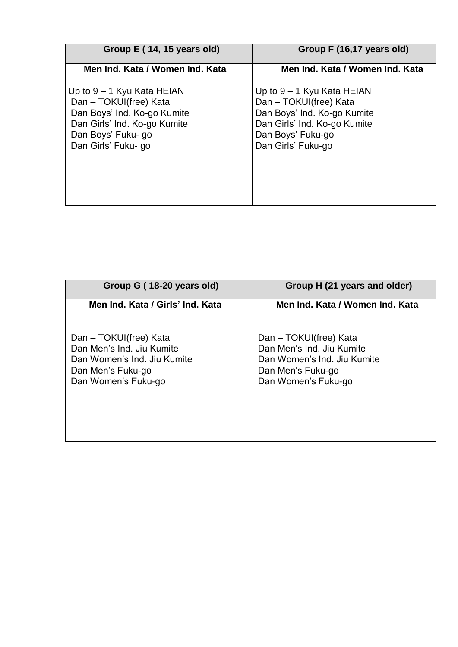| Group E (14, 15 years old)                                                                                                                                         | Group F (16,17 years old)                                                                                                                                        |
|--------------------------------------------------------------------------------------------------------------------------------------------------------------------|------------------------------------------------------------------------------------------------------------------------------------------------------------------|
| Men Ind. Kata / Women Ind. Kata                                                                                                                                    | Men Ind. Kata / Women Ind. Kata                                                                                                                                  |
| Up to $9 - 1$ Kyu Kata HEIAN<br>Dan - TOKUI(free) Kata<br>Dan Boys' Ind. Ko-go Kumite<br>Dan Girls' Ind. Ko-go Kumite<br>Dan Boys' Fuku- go<br>Dan Girls' Fuku- go | Up to $9 - 1$ Kyu Kata HEIAN<br>Dan - TOKUI(free) Kata<br>Dan Boys' Ind. Ko-go Kumite<br>Dan Girls' Ind. Ko-go Kumite<br>Dan Boys' Fuku-go<br>Dan Girls' Fuku-go |

| Group G (18-20 years old)                                                                                                      | Group H (21 years and older)                                                                                                   |
|--------------------------------------------------------------------------------------------------------------------------------|--------------------------------------------------------------------------------------------------------------------------------|
| Men Ind. Kata / Girls' Ind. Kata                                                                                               | Men Ind. Kata / Women Ind. Kata                                                                                                |
| Dan - TOKUI(free) Kata<br>Dan Men's Ind. Jiu Kumite<br>Dan Women's Ind. Jiu Kumite<br>Dan Men's Fuku-go<br>Dan Women's Fuku-go | Dan - TOKUI(free) Kata<br>Dan Men's Ind. Jiu Kumite<br>Dan Women's Ind. Jiu Kumite<br>Dan Men's Fuku-go<br>Dan Women's Fuku-go |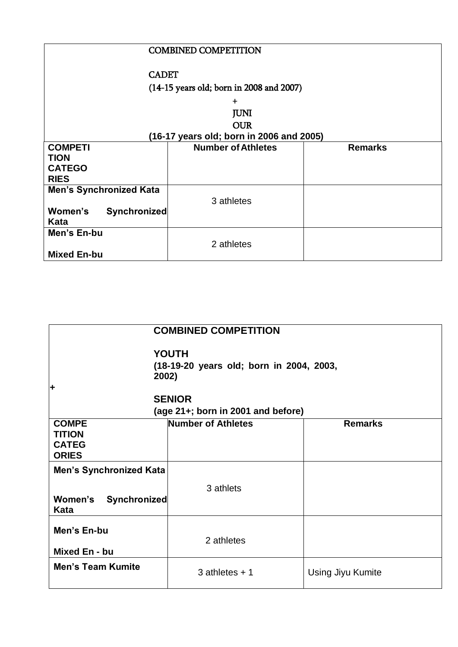| <b>COMBINED COMPETITION</b>                |                           |                |  |
|--------------------------------------------|---------------------------|----------------|--|
| <b>CADET</b>                               |                           |                |  |
| $(14-15$ years old; born in 2008 and 2007) |                           |                |  |
| $\ddot{}$                                  |                           |                |  |
| <b>JUNI</b>                                |                           |                |  |
| <b>OUR</b>                                 |                           |                |  |
| (16-17 years old; born in 2006 and 2005)   |                           |                |  |
| <b>COMPETI</b>                             | <b>Number of Athletes</b> | <b>Remarks</b> |  |
| <b>TION</b><br><b>CATEGO</b>               |                           |                |  |
| <b>RIES</b>                                |                           |                |  |
| <b>Men's Synchronized Kata</b>             |                           |                |  |
|                                            | 3 athletes                |                |  |
| Women's<br>Synchronized<br>Kata            |                           |                |  |
| Men's En-bu                                |                           |                |  |
| <b>Mixed En-bu</b>                         | 2 athletes                |                |  |

| <b>COMBINED COMPETITION</b>                                            |                                    |                   |  |  |  |
|------------------------------------------------------------------------|------------------------------------|-------------------|--|--|--|
| <b>YOUTH</b><br>(18-19-20 years old; born in 2004, 2003,<br>2002)<br>٠ |                                    |                   |  |  |  |
|                                                                        | <b>SENIOR</b>                      |                   |  |  |  |
|                                                                        | (age 21+; born in 2001 and before) |                   |  |  |  |
| <b>COMPE</b><br><b>TITION</b><br><b>CATEG</b><br><b>ORIES</b>          | <b>Number of Athletes</b>          | <b>Remarks</b>    |  |  |  |
| <b>Men's Synchronized Kata</b><br>Women's Synchronized<br>Kata         | 3 athlets                          |                   |  |  |  |
| Men's En-bu<br>Mixed En - bu                                           | 2 athletes                         |                   |  |  |  |
| <b>Men's Team Kumite</b>                                               | $3$ athletes $+1$                  | Using Jiyu Kumite |  |  |  |